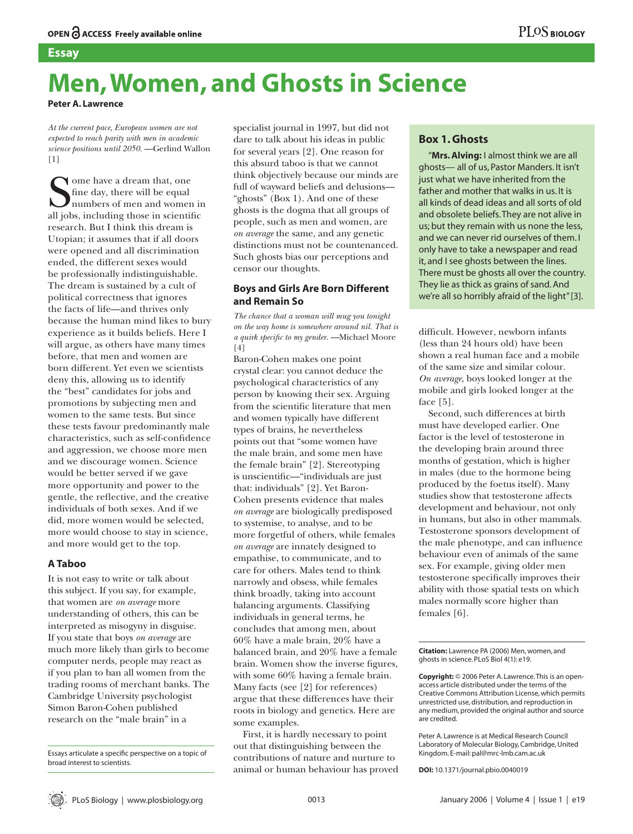#### **Essay**

# **Men, Women, and Ghosts in Science**

**Peter A. Lawrence**

*At the current pace, European women are not expected to reach parity with men in academic science positions until 2050.* —Gerlind Wallon [1]

Some have a dream that, one<br>
fine day, there will be equal<br>
numbers of men and women in<br>
all jobs including those in scientific fine day, there will be equal all jobs, including those in scientific research. But I think this dream is Utopian; it assumes that if all doors were opened and all discrimination ended, the different sexes would be professionally indistinguishable. The dream is sustained by a cult of political correctness that ignores the facts of life—and thrives only because the human mind likes to bury experience as it builds beliefs. Here I will argue, as others have many times before, that men and women are born different. Yet even we scientists deny this, allowing us to identify the "best" candidates for jobs and promotions by subjecting men and women to the same tests. But since these tests favour predominantly male characteristics, such as self-confidence and aggression, we choose more men and we discourage women. Science would be better served if we gave more opportunity and power to the gentle, the reflective, and the creative individuals of both sexes. And if we did, more women would be selected, more would choose to stay in science, and more would get to the top.

#### **A Taboo**

It is not easy to write or talk about this subject. If you say, for example, that women are *on average* more understanding of others, this can be interpreted as misogyny in disguise. If you state that boys *on average* are much more likely than girls to become computer nerds, people may react as if you plan to ban all women from the trading rooms of merchant banks. The Cambridge University psychologist Simon Baron-Cohen published research on the "male brain" in a

Essays articulate a specific perspective on a topic of broad interest to scientists.

specialist journal in 1997, but did not dare to talk about his ideas in public for several years [2]. One reason for this absurd taboo is that we cannot think objectively because our minds are full of wayward beliefs and delusions— "ghosts" (Box 1). And one of these ghosts is the dogma that all groups of people, such as men and women, are *on average* the same, and any genetic distinctions must not be countenanced. Such ghosts bias our perceptions and censor our thoughts.

#### **Boys and Girls Are Born Different and Remain So**

*The chance that a woman will mug you tonight on the way home is somewhere around nil. That is a quirk specifi c to my gender.* —Michael Moore [4]

Baron-Cohen makes one point crystal clear: you cannot deduce the psychological characteristics of any person by knowing their sex. Arguing from the scientific literature that men and women typically have different types of brains, he nevertheless points out that "some women have the male brain, and some men have the female brain" [2]. Stereotyping is unscientific—"individuals are just that: individuals" [2]. Yet Baron-Cohen presents evidence that males *on average* are biologically predisposed to systemise, to analyse, and to be more forgetful of others, while females *on average* are innately designed to empathise, to communicate, and to care for others. Males tend to think narrowly and obsess, while females think broadly, taking into account balancing arguments. Classifying individuals in general terms, he concludes that among men, about 60% have a male brain, 20% have a balanced brain, and 20% have a female brain. Women show the inverse figures, with some 60% having a female brain. Many facts (see [2] for references) argue that these differences have their roots in biology and genetics. Here are some examples.

First, it is hardly necessary to point out that distinguishing between the contributions of nature and nurture to animal or human behaviour has proved

### **Box 1. Ghosts**

"**Mrs. Alving:** I almost think we are all ghosts— all of us, Pastor Manders. It isn't just what we have inherited from the father and mother that walks in us. It is all kinds of dead ideas and all sorts of old and obsolete beliefs. They are not alive in us; but they remain with us none the less, and we can never rid ourselves of them. I only have to take a newspaper and read it, and I see ghosts between the lines. There must be ghosts all over the country. They lie as thick as grains of sand. And we're all so horribly afraid of the light" [3].

difficult. However, newborn infants (less than 24 hours old) have been shown a real human face and a mobile of the same size and similar colour. *On average*, boys looked longer at the mobile and girls looked longer at the face  $[5]$ .

Second, such differences at birth must have developed earlier. One factor is the level of testosterone in the developing brain around three months of gestation, which is higher in males (due to the hormone being produced by the foetus itself). Many studies show that testosterone affects development and behaviour, not only in humans, but also in other mammals. Testosterone sponsors development of the male phenotype, and can influence behaviour even of animals of the same sex. For example, giving older men testosterone specifically improves their ability with those spatial tests on which males normally score higher than females [6].

Peter A. Lawrence is at Medical Research Council Laboratory of Molecular Biology, Cambridge, United Kingdom. E-mail: pal@mrc-lmb.cam.ac.uk

**DOI:** 10.1371/journal.pbio.0040019

**Citation:** Lawrence PA (2006) Men, women, and ghosts in science. PLoS Biol 4(1): e19.

**Copyright:** © 2006 Peter A. Lawrence. This is an openaccess article distributed under the terms of the Creative Commons Attribution License, which permits unrestricted use, distribution, and reproduction in any medium, provided the original author and source are credited.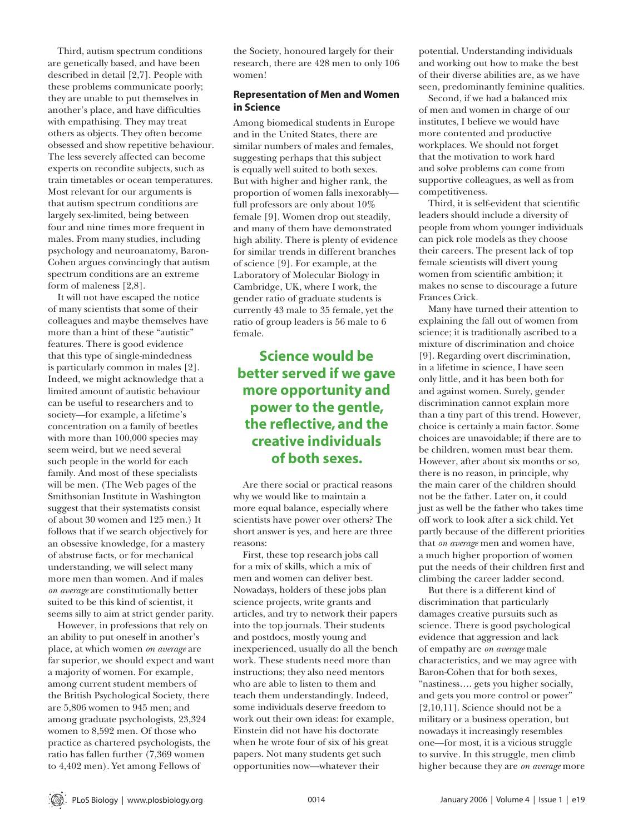Third, autism spectrum conditions are genetically based, and have been described in detail [2,7]. People with these problems communicate poorly; they are unable to put themselves in another's place, and have difficulties with empathising. They may treat others as objects. They often become obsessed and show repetitive behaviour. The less severely affected can become experts on recondite subjects, such as train timetables or ocean temperatures. Most relevant for our arguments is that autism spectrum conditions are largely sex-limited, being between four and nine times more frequent in males. From many studies, including psychology and neuroanatomy, Baron-Cohen argues convincingly that autism spectrum conditions are an extreme form of maleness [2,8].

It will not have escaped the notice of many scientists that some of their colleagues and maybe themselves have more than a hint of these "autistic" features. There is good evidence that this type of single-mindedness is particularly common in males [2]. Indeed, we might acknowledge that a limited amount of autistic behaviour can be useful to researchers and to society—for example, a lifetime's concentration on a family of beetles with more than 100,000 species may seem weird, but we need several such people in the world for each family. And most of these specialists will be men. (The Web pages of the Smithsonian Institute in Washington suggest that their systematists consist of about 30 women and 125 men.) It follows that if we search objectively for an obsessive knowledge, for a mastery of abstruse facts, or for mechanical understanding, we will select many more men than women. And if males *on average* are constitutionally better suited to be this kind of scientist, it seems silly to aim at strict gender parity.

However, in professions that rely on an ability to put oneself in another's place, at which women *on average* are far superior, we should expect and want a majority of women. For example, among current student members of the British Psychological Society, there are 5,806 women to 945 men; and among graduate psychologists, 23,324 women to 8,592 men. Of those who practice as chartered psychologists, the ratio has fallen further (7,369 women to 4,402 men). Yet among Fellows of

the Society, honoured largely for their research, there are 428 men to only 106 women!

#### **Representation of Men and Women in Science**

Among biomedical students in Europe and in the United States, there are similar numbers of males and females, suggesting perhaps that this subject is equally well suited to both sexes. But with higher and higher rank, the proportion of women falls inexorably full professors are only about 10% female [9]. Women drop out steadily, and many of them have demonstrated high ability. There is plenty of evidence for similar trends in different branches of science [9]. For example, at the Laboratory of Molecular Biology in Cambridge, UK, where I work, the gender ratio of graduate students is currently 43 male to 35 female, yet the ratio of group leaders is 56 male to 6 female.

## **Science would be better served if we gave more opportunity and power to the gentle, the reflective, and the creative individuals of both sexes.**

Are there social or practical reasons why we would like to maintain a more equal balance, especially where scientists have power over others? The short answer is yes, and here are three reasons:

First, these top research jobs call for a mix of skills, which a mix of men and women can deliver best. Nowadays, holders of these jobs plan science projects, write grants and articles, and try to network their papers into the top journals. Their students and postdocs, mostly young and inexperienced, usually do all the bench work. These students need more than instructions; they also need mentors who are able to listen to them and teach them understandingly. Indeed, some individuals deserve freedom to work out their own ideas: for example, Einstein did not have his doctorate when he wrote four of six of his great papers. Not many students get such opportunities now—whatever their

potential. Understanding individuals and working out how to make the best of their diverse abilities are, as we have seen, predominantly feminine qualities.

Second, if we had a balanced mix of men and women in charge of our institutes, I believe we would have more contented and productive workplaces. We should not forget that the motivation to work hard and solve problems can come from supportive colleagues, as well as from competitiveness.

Third, it is self-evident that scientific leaders should include a diversity of people from whom younger individuals can pick role models as they choose their careers. The present lack of top female scientists will divert young women from scientific ambition; it makes no sense to discourage a future Frances Crick.

Many have turned their attention to explaining the fall out of women from science; it is traditionally ascribed to a mixture of discrimination and choice [9]. Regarding overt discrimination, in a lifetime in science, I have seen only little, and it has been both for and against women. Surely, gender discrimination cannot explain more than a tiny part of this trend. However, choice is certainly a main factor. Some choices are unavoidable; if there are to be children, women must bear them. However, after about six months or so, there is no reason, in principle, why the main carer of the children should not be the father. Later on, it could just as well be the father who takes time off work to look after a sick child. Yet partly because of the different priorities that *on average* men and women have, a much higher proportion of women put the needs of their children first and climbing the career ladder second.

But there is a different kind of discrimination that particularly damages creative pursuits such as science. There is good psychological evidence that aggression and lack of empathy are *on average* male characteristics, and we may agree with Baron-Cohen that for both sexes, "nastiness…. gets you higher socially, and gets you more control or power" [2,10,11]. Science should not be a military or a business operation, but nowadays it increasingly resembles one—for most, it is a vicious struggle to survive. In this struggle, men climb higher because they are *on average* more